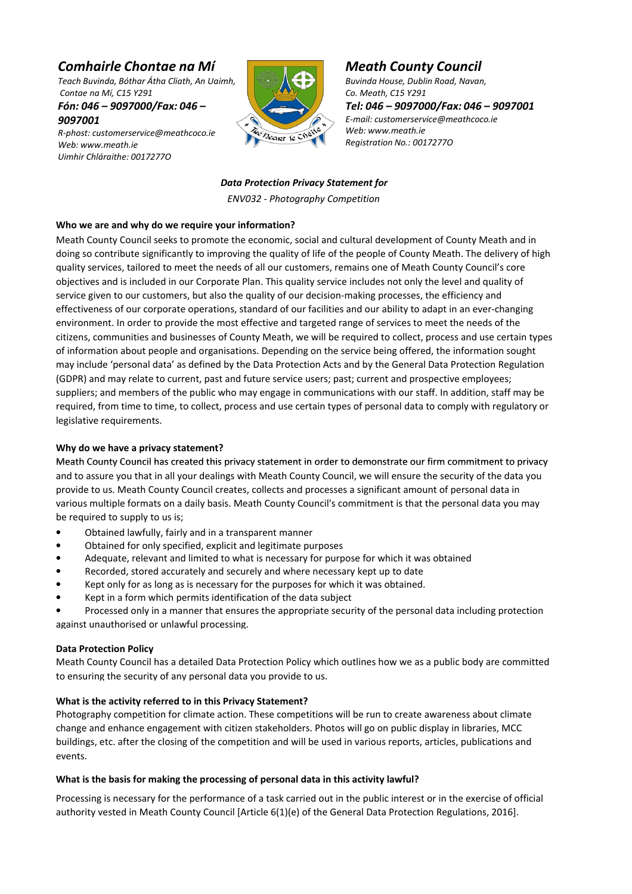# Comhairle Chontae na Mí

Teach Buvinda, Bóthar Átha Cliath, An Uaimh, Contae na Mí, C15 Y291

Fón: 046 – 9097000/Fax: 046 – 9097001

R-phost: customerservice@meathcoco.ie Web: www.meath.ie Uimhir Chláraithe: 0017277O



# Meath County Council

Buvinda House, Dublin Road, Navan, Co. Meath, C15 Y291 Tel: 046 – 9097000/Fax: 046 – 9097001 E-mail: customerservice@meathcoco.ie Web: www.meath.ie Registration No.: 0017277O

Data Protection Privacy Statement for ENV032 - Photography Competition

## Who we are and why do we require your information?

Meath County Council seeks to promote the economic, social and cultural development of County Meath and in doing so contribute significantly to improving the quality of life of the people of County Meath. The delivery of high quality services, tailored to meet the needs of all our customers, remains one of Meath County Council's core objectives and is included in our Corporate Plan. This quality service includes not only the level and quality of service given to our customers, but also the quality of our decision-making processes, the efficiency and effectiveness of our corporate operations, standard of our facilities and our ability to adapt in an ever-changing environment. In order to provide the most effective and targeted range of services to meet the needs of the citizens, communities and businesses of County Meath, we will be required to collect, process and use certain types of information about people and organisations. Depending on the service being offered, the information sought may include 'personal data' as defined by the Data Protection Acts and by the General Data Protection Regulation (GDPR) and may relate to current, past and future service users; past; current and prospective employees; suppliers; and members of the public who may engage in communications with our staff. In addition, staff may be required, from time to time, to collect, process and use certain types of personal data to comply with regulatory or legislative requirements.

## Why do we have a privacy statement?

Meath County Council has created this privacy statement in order to demonstrate our firm commitment to privacy and to assure you that in all your dealings with Meath County Council, we will ensure the security of the data you provide to us. Meath County Council creates, collects and processes a significant amount of personal data in various multiple formats on a daily basis. Meath County Council's commitment is that the personal data you may be required to supply to us is;

- Obtained lawfully, fairly and in a transparent manner
- Obtained for only specified, explicit and legitimate purposes
- Adequate, relevant and limited to what is necessary for purpose for which it was obtained
- Recorded, stored accurately and securely and where necessary kept up to date
- Kept only for as long as is necessary for the purposes for which it was obtained.
- Kept in a form which permits identification of the data subject

• Processed only in a manner that ensures the appropriate security of the personal data including protection against unauthorised or unlawful processing.

## Data Protection Policy

Meath County Council has a detailed Data Protection Policy which outlines how we as a public body are committed to ensuring the security of any personal data you provide to us.

## What is the activity referred to in this Privacy Statement?

Photography competition for climate action. These competitions will be run to create awareness about climate change and enhance engagement with citizen stakeholders. Photos will go on public display in libraries, MCC buildings, etc. after the closing of the competition and will be used in various reports, articles, publications and events.

## What is the basis for making the processing of personal data in this activity lawful?

Processing is necessary for the performance of a task carried out in the public interest or in the exercise of official authority vested in Meath County Council [Article 6(1)(e) of the General Data Protection Regulations, 2016].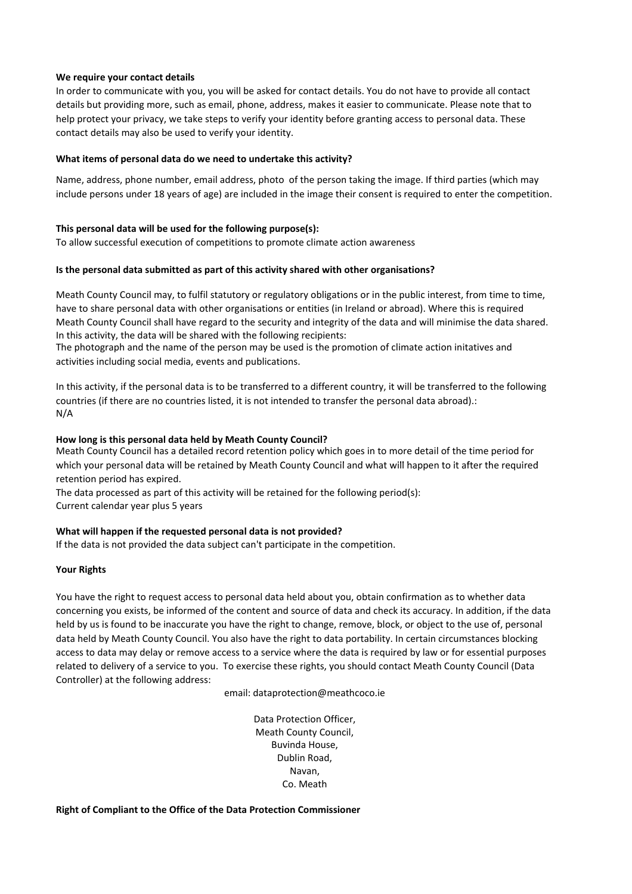#### We require your contact details

In order to communicate with you, you will be asked for contact details. You do not have to provide all contact details but providing more, such as email, phone, address, makes it easier to communicate. Please note that to help protect your privacy, we take steps to verify your identity before granting access to personal data. These contact details may also be used to verify your identity.

### What items of personal data do we need to undertake this activity?

Name, address, phone number, email address, photo of the person taking the image. If third parties (which may include persons under 18 years of age) are included in the image their consent is required to enter the competition.

### This personal data will be used for the following purpose(s):

To allow successful execution of competitions to promote climate action awareness

#### Is the personal data submitted as part of this activity shared with other organisations?

Meath County Council may, to fulfil statutory or regulatory obligations or in the public interest, from time to time, have to share personal data with other organisations or entities (in Ireland or abroad). Where this is required Meath County Council shall have regard to the security and integrity of the data and will minimise the data shared. In this activity, the data will be shared with the following recipients:

The photograph and the name of the person may be used is the promotion of climate action initatives and activities including social media, events and publications.

In this activity, if the personal data is to be transferred to a different country, it will be transferred to the following countries (if there are no countries listed, it is not intended to transfer the personal data abroad).: N/A

#### How long is this personal data held by Meath County Council?

Meath County Council has a detailed record retention policy which goes in to more detail of the time period for which your personal data will be retained by Meath County Council and what will happen to it after the required retention period has expired.

The data processed as part of this activity will be retained for the following period(s): Current calendar year plus 5 years

#### What will happen if the requested personal data is not provided?

If the data is not provided the data subject can't participate in the competition.

#### Your Rights

You have the right to request access to personal data held about you, obtain confirmation as to whether data concerning you exists, be informed of the content and source of data and check its accuracy. In addition, if the data held by us is found to be inaccurate you have the right to change, remove, block, or object to the use of, personal data held by Meath County Council. You also have the right to data portability. In certain circumstances blocking access to data may delay or remove access to a service where the data is required by law or for essential purposes related to delivery of a service to you. To exercise these rights, you should contact Meath County Council (Data Controller) at the following address:

email: dataprotection@meathcoco.ie

Data Protection Officer, Meath County Council, Buvinda House, Dublin Road, Navan, Co. Meath

Right of Compliant to the Office of the Data Protection Commissioner